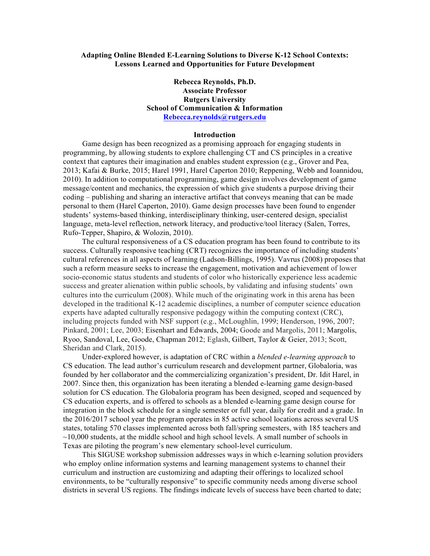## **Adapting Online Blended E-Learning Solutions to Diverse K-12 School Contexts: Lessons Learned and Opportunities for Future Development**

# **Rebecca Reynolds, Ph.D. Associate Professor Rutgers University School of Communication & Information Rebecca.reynolds@rutgers.edu**

### **Introduction**

Game design has been recognized as a promising approach for engaging students in programming, by allowing students to explore challenging CT and CS principles in a creative context that captures their imagination and enables student expression (e.g., Grover and Pea, 2013; Kafai & Burke, 2015; Harel 1991, Harel Caperton 2010; Reppening, Webb and Ioannidou, 2010). In addition to computational programming, game design involves development of game message/content and mechanics, the expression of which give students a purpose driving their coding – publishing and sharing an interactive artifact that conveys meaning that can be made personal to them (Harel Caperton, 2010). Game design processes have been found to engender students' systems-based thinking, interdisciplinary thinking, user-centered design, specialist language, meta-level reflection, network literacy, and productive/tool literacy (Salen, Torres, Rufo-Tepper, Shapiro, & Wolozin, 2010).

The cultural responsiveness of a CS education program has been found to contribute to its success. Culturally responsive teaching (CRT) recognizes the importance of including students' cultural references in all aspects of learning (Ladson-Billings, 1995). Vavrus (2008) proposes that such a reform measure seeks to increase the engagement, motivation and achievement of lower socio-economic status students and students of color who historically experience less academic success and greater alienation within public schools, by validating and infusing students' own cultures into the curriculum (2008). While much of the originating work in this arena has been developed in the traditional K-12 academic disciplines, a number of computer science education experts have adapted culturally responsive pedagogy within the computing context (CRC), including projects funded with NSF support (e.g., McLoughlin, 1999; Henderson, 1996, 2007; Pinkard, 2001; Lee, 2003; Eisenhart and Edwards, 2004; Goode and Margolis, 2011; Margolis, Ryoo, Sandoval, Lee, Goode, Chapman 2012; Eglash, Gilbert, Taylor & Geier, 2013; Scott, Sheridan and Clark, 2015).

Under-explored however, is adaptation of CRC within a *blended e-learning approach* to CS education. The lead author's curriculum research and development partner, Globaloria, was founded by her collaborator and the commercializing organization's president, Dr. Idit Harel, in 2007. Since then, this organization has been iterating a blended e-learning game design-based solution for CS education. The Globaloria program has been designed, scoped and sequenced by CS education experts, and is offered to schools as a blended e-learning game design course for integration in the block schedule for a single semester or full year, daily for credit and a grade. In the 2016/2017 school year the program operates in 85 active school locations across several US states, totaling 570 classes implemented across both fall/spring semesters, with 185 teachers and  $\sim$ 10,000 students, at the middle school and high school levels. A small number of schools in Texas are piloting the program's new elementary school-level curriculum.

This SIGUSE workshop submission addresses ways in which e-learning solution providers who employ online information systems and learning management systems to channel their curriculum and instruction are customizing and adapting their offerings to localized school environments, to be "culturally responsive" to specific community needs among diverse school districts in several US regions. The findings indicate levels of success have been charted to date;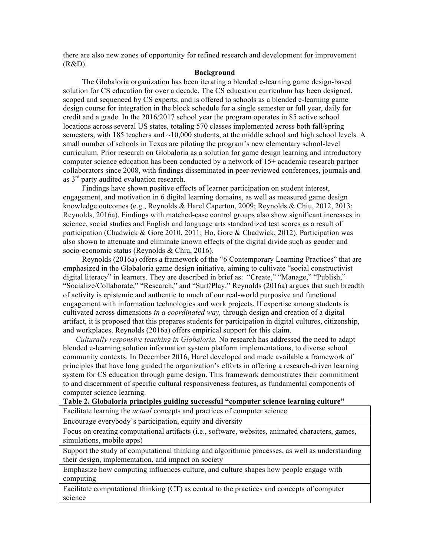there are also new zones of opportunity for refined research and development for improvement (R&D).

## **Background**

The Globaloria organization has been iterating a blended e-learning game design-based solution for CS education for over a decade. The CS education curriculum has been designed, scoped and sequenced by CS experts, and is offered to schools as a blended e-learning game design course for integration in the block schedule for a single semester or full year, daily for credit and a grade. In the 2016/2017 school year the program operates in 85 active school locations across several US states, totaling 570 classes implemented across both fall/spring semesters, with 185 teachers and  $\sim$ 10,000 students, at the middle school and high school levels. A small number of schools in Texas are piloting the program's new elementary school-level curriculum. Prior research on Globaloria as a solution for game design learning and introductory computer science education has been conducted by a network of 15+ academic research partner collaborators since 2008, with findings disseminated in peer-reviewed conferences, journals and as  $3<sup>rd</sup>$  party audited evaluation research.

Findings have shown positive effects of learner participation on student interest, engagement, and motivation in 6 digital learning domains, as well as measured game design knowledge outcomes (e.g., Reynolds & Harel Caperton, 2009; Reynolds & Chiu, 2012, 2013; Reynolds, 2016a). Findings with matched-case control groups also show significant increases in science, social studies and English and language arts standardized test scores as a result of participation (Chadwick & Gore 2010, 2011; Ho, Gore & Chadwick, 2012). Participation was also shown to attenuate and eliminate known effects of the digital divide such as gender and socio-economic status (Reynolds & Chiu, 2016).

Reynolds (2016a) offers a framework of the "6 Contemporary Learning Practices" that are emphasized in the Globaloria game design initiative, aiming to cultivate "social constructivist digital literacy" in learners. They are described in brief as: "Create," "Manage," "Publish," "Socialize/Collaborate," "Research," and "Surf/Play." Reynolds (2016a) argues that such breadth of activity is epistemic and authentic to much of our real-world purposive and functional engagement with information technologies and work projects. If expertise among students is cultivated across dimensions *in a coordinated way,* through design and creation of a digital artifact, it is proposed that this prepares students for participation in digital cultures, citizenship, and workplaces. Reynolds (2016a) offers empirical support for this claim.

*Culturally responsive teaching in Globaloria.* No research has addressed the need to adapt blended e-learning solution information system platform implementations, to diverse school community contexts. In December 2016, Harel developed and made available a framework of principles that have long guided the organization's efforts in offering a research-driven learning system for CS education through game design. This framework demonstrates their commitment to and discernment of specific cultural responsiveness features, as fundamental components of computer science learning.

## **Table 2. Globaloria principles guiding successful "computer science learning culture"**

Facilitate learning the *actual* concepts and practices of computer science

Encourage everybody's participation, equity and diversity

Focus on creating computational artifacts (i.e., software, websites, animated characters, games, simulations, mobile apps)

Support the study of computational thinking and algorithmic processes, as well as understanding their design, implementation, and impact on society

Emphasize how computing influences culture, and culture shapes how people engage with computing

Facilitate computational thinking (CT) as central to the practices and concepts of computer science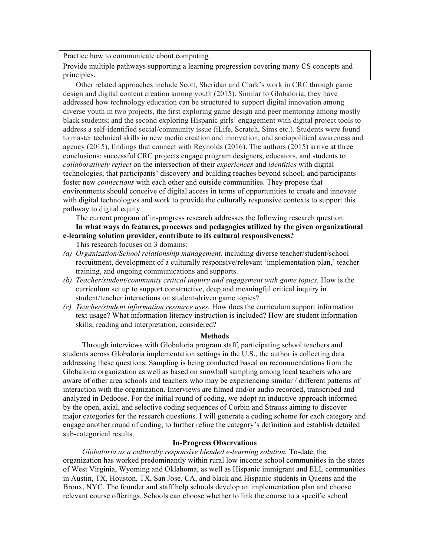Practice how to communicate about computing

Provide multiple pathways supporting a learning progression covering many CS concepts and principles.

Other related approaches include Scott, Sheridan and Clark's work in CRC through game design and digital content creation among youth (2015). Similar to Globaloria, they have addressed how technology education can be structured to support digital innovation among diverse youth in two projects, the first exploring game design and peer mentoring among mostly black students; and the second exploring Hispanic girls' engagement with digital project tools to address a self-identified social/community issue (iLife, Scratch, Sims etc.). Students were found to master technical skills in new media creation and innovation, and sociopolitical awareness and agency (2015), findings that connect with Reynolds (2016). The authors (2015) arrive at three conclusions: successful CRC projects engage program designers, educators, and students to *collaboratively reflect* on the intersection of their *experiences* and *identities* with digital technologies; that participants' discovery and building reaches beyond school; and participants foster new *connections* with each other and outside communities. They propose that environments should conceive of digital access in terms of opportunities to create and innovate with digital technologies and work to provide the culturally responsive contexts to support this pathway to digital equity.

The current program of in-progress research addresses the following research question: **In what ways do features, processes and pedagogies utilized by the given organizational e-learning solution provider, contribute to its cultural responsiveness?**

This research focuses on 3 domains:

- *(a) Organization/School relationship management,* including diverse teacher/student/school recruitment, development of a culturally responsive/relevant 'implementation plan,' teacher training, and ongoing communications and supports.
- *(b) Teacher/student/community critical inquiry and engagement with game topics.* How is the curriculum set up to support constructive, deep and meaningful critical inquiry in student/teacher interactions on student-driven game topics?
- *(c) Teacher/student information resource uses.* How does the curriculum support information text usage? What information literacy instruction is included? How are student information skills, reading and interpretation, considered?

### **Methods**

Through interviews with Globaloria program staff, participating school teachers and students across Globaloria implementation settings in the U.S., the author is collecting data addressing these questions. Sampling is being conducted based on recommendations from the Globaloria organization as well as based on snowball sampling among local teachers who are aware of other area schools and teachers who may be experiencing similar / different patterns of interaction with the organization. Interviews are filmed and/or audio recorded, transcribed and analyzed in Dedoose. For the initial round of coding, we adopt an inductive approach informed by the open, axial, and selective coding sequences of Corbin and Strauss aiming to discover major categories for the research questions. I will generate a coding scheme for each category and engage another round of coding, to further refine the category's definition and establish detailed sub-categorical results.

## **In-Progress Observations**

*Globaloria as a culturally responsive blended e-learning solution.* To-date, the organization has worked predominantly within rural low income school communities in the states of West Virginia, Wyoming and Oklahoma, as well as Hispanic immigrant and ELL communities in Austin, TX, Houston, TX, San Jose, CA, and black and Hispanic students in Queens and the Bronx, NYC. The founder and staff help schools develop an implementation plan and choose relevant course offerings. Schools can choose whether to link the course to a specific school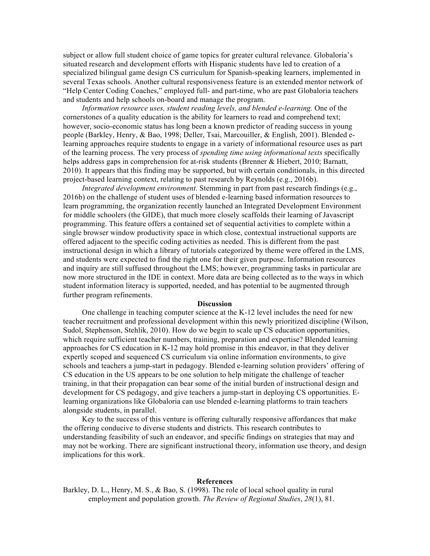subject or allow full student choice of game topics for greater cultural relevance. Globaloria's situated research and development efforts with Hispanic students have led to creation of a specialized bilingual game design CS curriculum for Spanish-speaking learners, implemented in several Texas schools. Another cultural responsiveness feature is an extended mentor network of "Help Center Coding Coaches," employed full- and part-time, who are past Globaloria teachers and students and help schools on-board and manage the program.

*Information resource uses, student reading levels, and blended e-learning.* One of the cornerstones of a quality education is the ability for learners to read and comprehend text; however, socio-economic status has long been a known predictor of reading success in young people (Barkley, Henry, & Bao, 1998; Deller, Tsai, Marcouiller, & English, 2001). Blended elearning approaches require students to engage in a variety of informational resource uses as part of the learning process. The very process of *spending time using informational texts* specifically helps address gaps in comprehension for at-risk students (Brenner & Hiebert, 2010; Barnatt, 2010). It appears that this finding may be supported, but with certain conditionals, in this directed project-based learning context, relating to past research by Reynolds (e.g., 2016b).

*Integrated development environment*. Stemming in part from past research findings (e.g., 2016b) on the challenge of student uses of blended e-learning based information resources to learn programming, the organization recently launched an Integrated Development Environment for middle schoolers (the GIDE), that much more closely scaffolds their learning of Javascript programming. This feature offers a contained set of sequential activities to complete within a single browser window productivity space in which close, contextual instructional supports are offered adjacent to the specific coding activities as needed. This is different from the past instructional design in which a library of tutorials categorized by theme were offered in the LMS, and students were expected to find the right one for their given purpose. Information resources and inquiry are still suffused throughout the LMS; however, programming tasks in particular are now more structured in the IDE in context. More data are being collected as to the ways in which student information literacy is supported, needed, and has potential to be augmented through further program refinements.

#### **Discussion**

One challenge in teaching computer science at the K-12 level includes the need for new teacher recruitment and professional development within this newly prioritized discipline (Wilson, Sudol, Stephenson, Stehlik, 2010). How do we begin to scale up CS education opportunities, which require sufficient teacher numbers, training, preparation and expertise? Blended learning approaches for CS education in K-12 may hold promise in this endeavor, in that they deliver expertly scoped and sequenced CS curriculum via online information environments, to give schools and teachers a jump-start in pedagogy. Blended e-learning solution providers' offering of CS education in the US appears to be one solution to help mitigate the challenge of teacher training, in that their propagation can bear some of the initial burden of instructional design and development for CS pedagogy, and give teachers a jump-start in deploying CS opportunities. Elearning organizations like Globaloria can use blended e-learning platforms to train teachers alongside students, in parallel.

Key to the success of this venture is offering culturally responsive affordances that make the offering conducive to diverse students and districts. This research contributes to understanding feasibility of such an endeavor, and specific findings on strategies that may and may not be working. There are significant instructional theory, information use theory, and design implications for this work.

#### **References**

Barkley, D. L., Henry, M. S., & Bao, S. (1998). The role of local school quality in rural employment and population growth. *The Review of Regional Studies*, *28*(1), 81.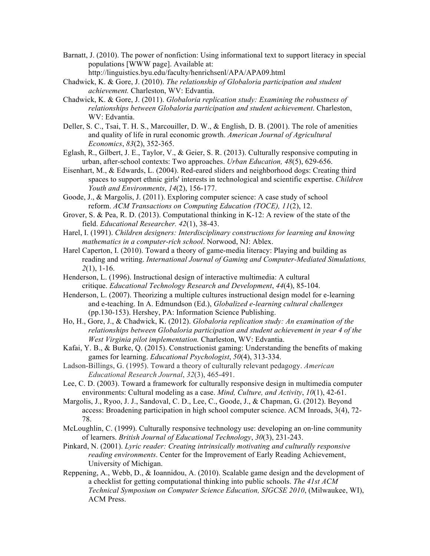- Barnatt, J. (2010). The power of nonfiction: Using informational text to support literacy in special populations [WWW page]. Available at: http://linguistics.byu.edu/faculty/henrichsenl/APA/APA09.html
- Chadwick, K. & Gore, J. (2010). *The relationship of Globaloria participation and student achievement.* Charleston, WV: Edvantia.
- Chadwick, K. & Gore, J. (2011). *Globaloria replication study: Examining the robustness of relationships between Globaloria participation and student achievement*. Charleston, WV: Edvantia.
- Deller, S. C., Tsai, T. H. S., Marcouiller, D. W., & English, D. B. (2001). The role of amenities and quality of life in rural economic growth. *American Journal of Agricultural Economics*, *83*(2), 352-365.
- Eglash, R., Gilbert, J. E., Taylor, V., & Geier, S. R. (2013). Culturally responsive computing in urban, after-school contexts: Two approaches. *Urban Education, 48*(5), 629-656.
- Eisenhart, M., & Edwards, L. (2004). Red-eared sliders and neighborhood dogs: Creating third spaces to support ethnic girls' interests in technological and scientific expertise. *Children Youth and Environments*, *14*(2), 156-177.

Goode, J., & Margolis, J. (2011). Exploring computer science: A case study of school reform. *ACM Transactions on Computing Education (TOCE), 11*(2), 12.

Grover, S. & Pea, R. D. (2013). Computational thinking in K-12: A review of the state of the field. *Educational Researcher. 42*(1), 38-43.

Harel, I. (1991). *Children designers: Interdisciplinary constructions for learning and knowing mathematics in a computer-rich school*. Norwood, NJ: Ablex.

- Harel Caperton, I. (2010). Toward a theory of game-media literacy: Playing and building as reading and writing. *International Journal of Gaming and Computer-Mediated Simulations, 2*(1), 1-16.
- Henderson, L. (1996). Instructional design of interactive multimedia: A cultural critique. *Educational Technology Research and Development*, *44*(4), 85-104.

Henderson, L. (2007). Theorizing a multiple cultures instructional design model for e-learning and e-teaching. In A. Edmundson (Ed.), *Globalized e-learning cultural challenges* (pp.130-153). Hershey, PA: Information Science Publishing.

Ho, H., Gore, J., & Chadwick, K. (2012). *Globaloria replication study: An examination of the relationships between Globaloria participation and student achievement in year 4 of the West Virginia pilot implementation.* Charleston, WV: Edvantia.

- Kafai, Y. B., & Burke, Q. (2015). Constructionist gaming: Understanding the benefits of making games for learning. *Educational Psychologist*, *50*(4), 313-334.
- Ladson-Billings, G. (1995). Toward a theory of culturally relevant pedagogy. *American Educational Research Journal*, *32*(3), 465-491.

Lee, C. D. (2003). Toward a framework for culturally responsive design in multimedia computer environments: Cultural modeling as a case. *Mind, Culture, and Activity*, *10*(1), 42-61.

Margolis, J., Ryoo, J. J., Sandoval, C. D., Lee, C., Goode, J., & Chapman, G. (2012). Beyond access: Broadening participation in high school computer science. ACM Inroads, 3(4), 72- 78.

McLoughlin, C. (1999). Culturally responsive technology use: developing an on-line community of learners. *British Journal of Educational Technology*, *30*(3), 231-243.

Pinkard, N. (2001). *Lyric reader: Creating intrinsically motivating and culturally responsive reading environments*. Center for the Improvement of Early Reading Achievement, University of Michigan.

Reppening, A., Webb, D., & Ioannidou, A. (2010). Scalable game design and the development of a checklist for getting computational thinking into public schools. *The 41st ACM Technical Symposium on Computer Science Education, SIGCSE 2010*, (Milwaukee, WI), ACM Press.